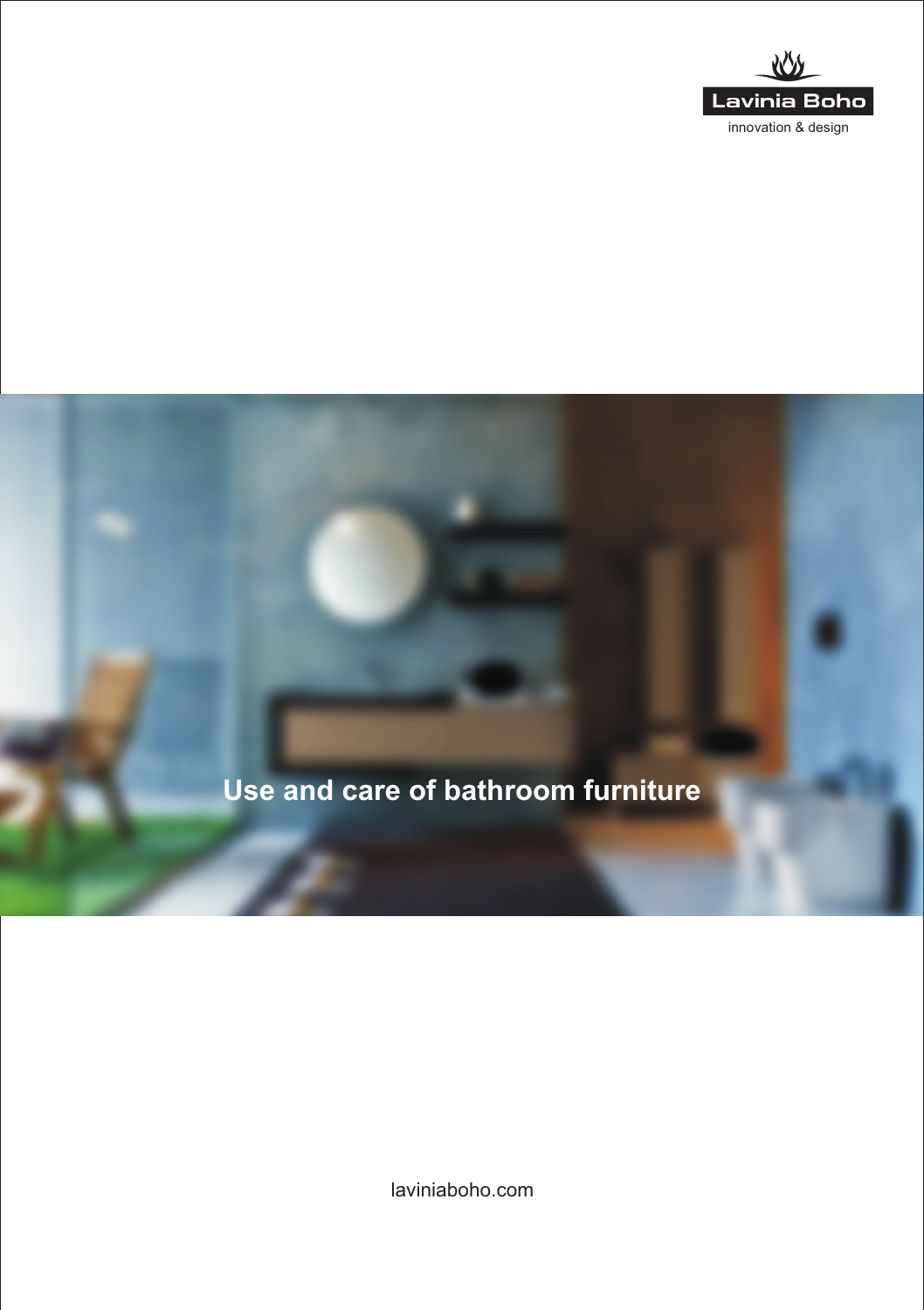



laviniaboho.com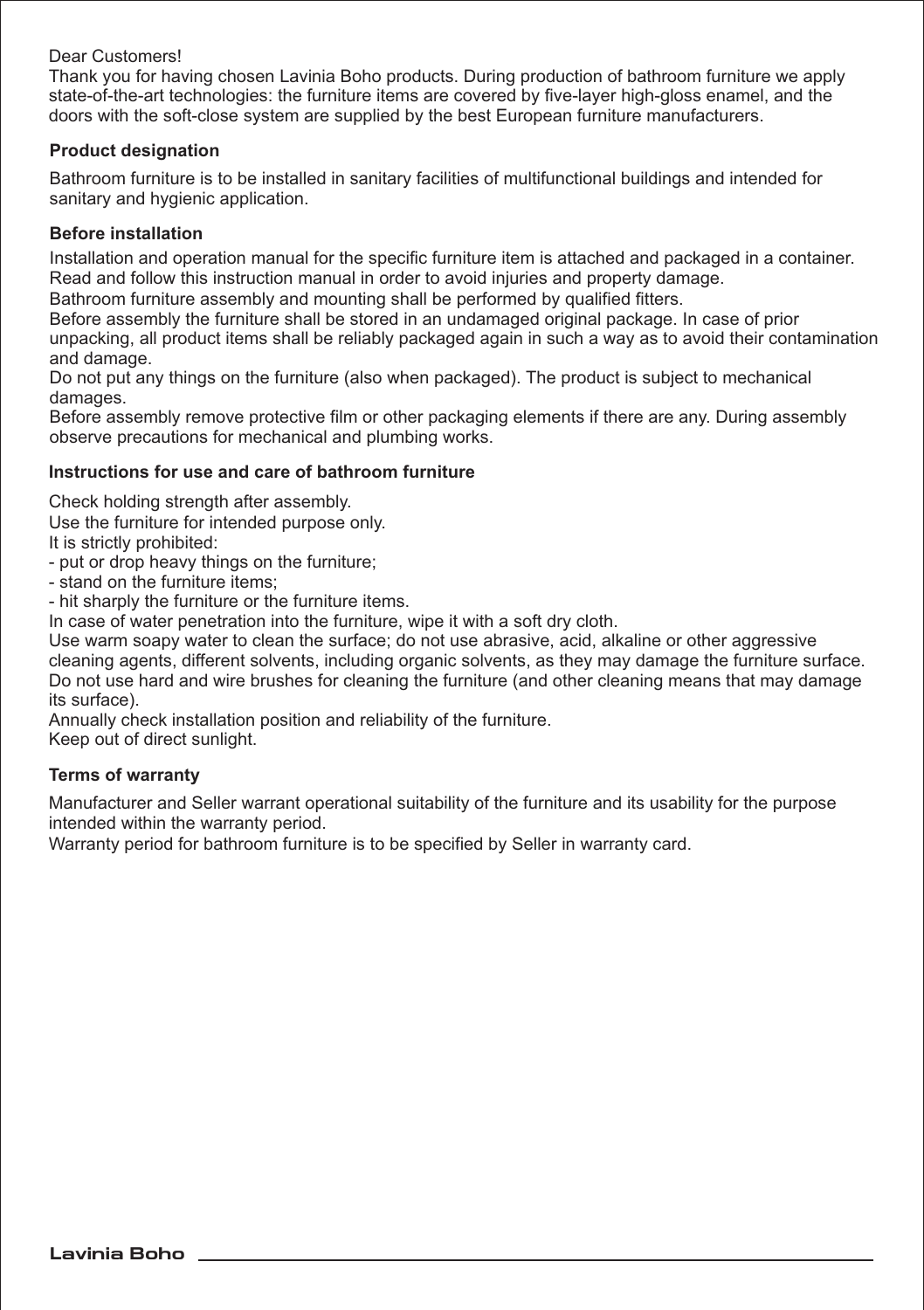## Dear Customers!

Thank you for having chosen Lavinia Boho products. During production of bathroom furniture we apply state-of-the-art technologies: the furniture items are covered by five-layer high-gloss enamel, and the doors with the soft-close system are supplied by the best European furniture manufacturers.

### **Product designation**

Bathroom furniture is to be installed in sanitary facilities of multifunctional buildings and intended for sanitary and hygienic application.

# **Before installation**

Installation and operation manual for the specific furniture item is attached and packaged in a container. Read and follow this instruction manual in order to avoid injuries and property damage.

Bathroom furniture assembly and mounting shall be performed by qualified fitters.

Before assembly the furniture shall be stored in an undamaged original package. In case of prior unpacking, all product items shall be reliably packaged again in such a way as to avoid their contamination and damage.

Do not put any things on the furniture (also when packaged). The product is subject to mechanical damages.

Before assembly remove protective film or other packaging elements if there are any. During assembly observe precautions for mechanical and plumbing works.

### **Instructions for use and care of bathroom furniture**

Check holding strength after assembly.

Use the furniture for intended purpose only.

It is strictly prohibited:

- put or drop heavy things on the furniture;
- stand on the furniture items;

- hit sharply the furniture or the furniture items.

In case of water penetration into the furniture, wipe it with a soft dry cloth.

Use warm soapy water to clean the surface; do not use abrasive, acid, alkaline or other aggressive cleaning agents, different solvents, including organic solvents, as they may damage the furniture surface. Do not use hard and wire brushes for cleaning the furniture (and other cleaning means that may damage its surface).

Annually check installation position and reliability of the furniture.

Keep out of direct sunlight.

### **Terms of warranty**

Manufacturer and Seller warrant operational suitability of the furniture and its usability for the purpose intended within the warranty period.

Warranty period for bathroom furniture is to be specified by Seller in warranty card.